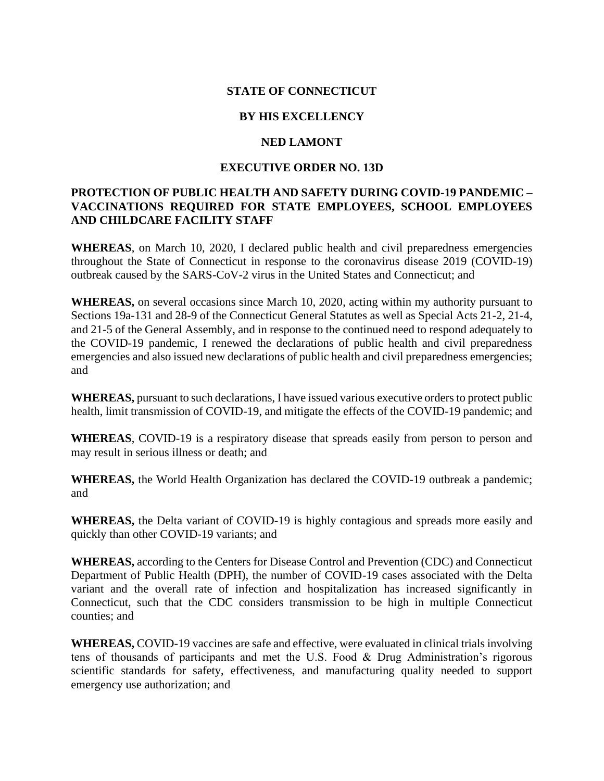### **STATE OF CONNECTICUT**

## **BY HIS EXCELLENCY**

### **NED LAMONT**

## **EXECUTIVE ORDER NO. 13D**

# **PROTECTION OF PUBLIC HEALTH AND SAFETY DURING COVID-19 PANDEMIC – VACCINATIONS REQUIRED FOR STATE EMPLOYEES, SCHOOL EMPLOYEES AND CHILDCARE FACILITY STAFF**

**WHEREAS**, on March 10, 2020, I declared public health and civil preparedness emergencies throughout the State of Connecticut in response to the coronavirus disease 2019 (COVID-19) outbreak caused by the SARS-CoV-2 virus in the United States and Connecticut; and

**WHEREAS,** on several occasions since March 10, 2020, acting within my authority pursuant to Sections 19a-131 and 28-9 of the Connecticut General Statutes as well as Special Acts 21-2, 21-4, and 21-5 of the General Assembly, and in response to the continued need to respond adequately to the COVID-19 pandemic, I renewed the declarations of public health and civil preparedness emergencies and also issued new declarations of public health and civil preparedness emergencies; and

**WHEREAS,** pursuant to such declarations, I have issued various executive orders to protect public health, limit transmission of COVID-19, and mitigate the effects of the COVID-19 pandemic; and

**WHEREAS**, COVID-19 is a respiratory disease that spreads easily from person to person and may result in serious illness or death; and

**WHEREAS,** the World Health Organization has declared the COVID-19 outbreak a pandemic; and

**WHEREAS,** the Delta variant of COVID-19 is highly contagious and spreads more easily and quickly than other COVID-19 variants; and

**WHEREAS,** according to the Centers for Disease Control and Prevention (CDC) and Connecticut Department of Public Health (DPH), the number of COVID-19 cases associated with the Delta variant and the overall rate of infection and hospitalization has increased significantly in Connecticut, such that the CDC considers transmission to be high in multiple Connecticut counties; and

**WHEREAS,** COVID-19 vaccines are safe and effective, were evaluated in clinical trials involving tens of thousands of participants and met the U.S. Food & Drug Administration's rigorous scientific standards for safety, effectiveness, and manufacturing quality needed to support emergency use authorization; and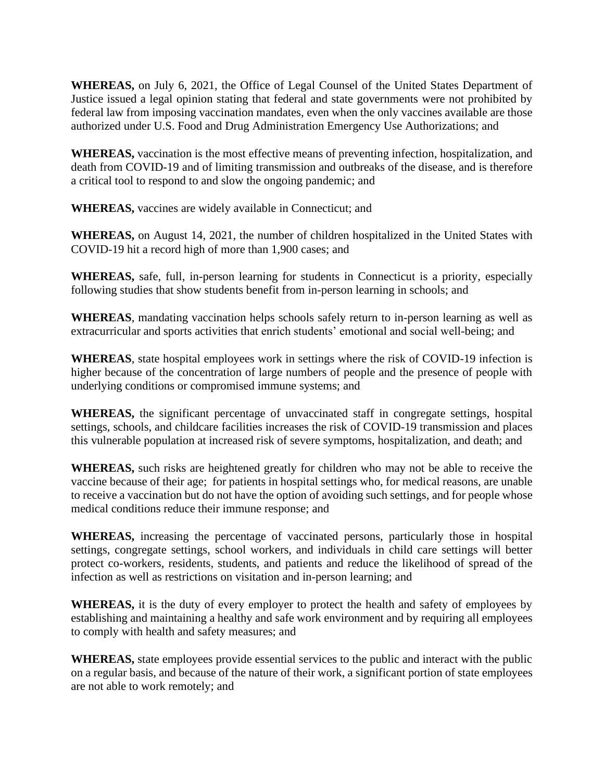**WHEREAS,** on July 6, 2021, the Office of Legal Counsel of the United States Department of Justice issued a legal opinion stating that federal and state governments were not prohibited by federal law from imposing vaccination mandates, even when the only vaccines available are those authorized under U.S. Food and Drug Administration Emergency Use Authorizations; and

**WHEREAS,** vaccination is the most effective means of preventing infection, hospitalization, and death from COVID-19 and of limiting transmission and outbreaks of the disease, and is therefore a critical tool to respond to and slow the ongoing pandemic; and

**WHEREAS,** vaccines are widely available in Connecticut; and

**WHEREAS,** on August 14, 2021, the number of children hospitalized in the United States with COVID-19 hit a record high of more than 1,900 cases; and

**WHEREAS,** safe, full, in-person learning for students in Connecticut is a priority, especially following studies that show students benefit from in-person learning in schools; and

**WHEREAS**, mandating vaccination helps schools safely return to in-person learning as well as extracurricular and sports activities that enrich students' emotional and social well-being; and

**WHEREAS**, state hospital employees work in settings where the risk of COVID-19 infection is higher because of the concentration of large numbers of people and the presence of people with underlying conditions or compromised immune systems; and

**WHEREAS,** the significant percentage of unvaccinated staff in congregate settings, hospital settings, schools, and childcare facilities increases the risk of COVID-19 transmission and places this vulnerable population at increased risk of severe symptoms, hospitalization, and death; and

**WHEREAS,** such risks are heightened greatly for children who may not be able to receive the vaccine because of their age; for patients in hospital settings who, for medical reasons, are unable to receive a vaccination but do not have the option of avoiding such settings, and for people whose medical conditions reduce their immune response; and

**WHEREAS,** increasing the percentage of vaccinated persons, particularly those in hospital settings, congregate settings, school workers, and individuals in child care settings will better protect co-workers, residents, students, and patients and reduce the likelihood of spread of the infection as well as restrictions on visitation and in-person learning; and

**WHEREAS,** it is the duty of every employer to protect the health and safety of employees by establishing and maintaining a healthy and safe work environment and by requiring all employees to comply with health and safety measures; and

**WHEREAS,** state employees provide essential services to the public and interact with the public on a regular basis, and because of the nature of their work, a significant portion of state employees are not able to work remotely; and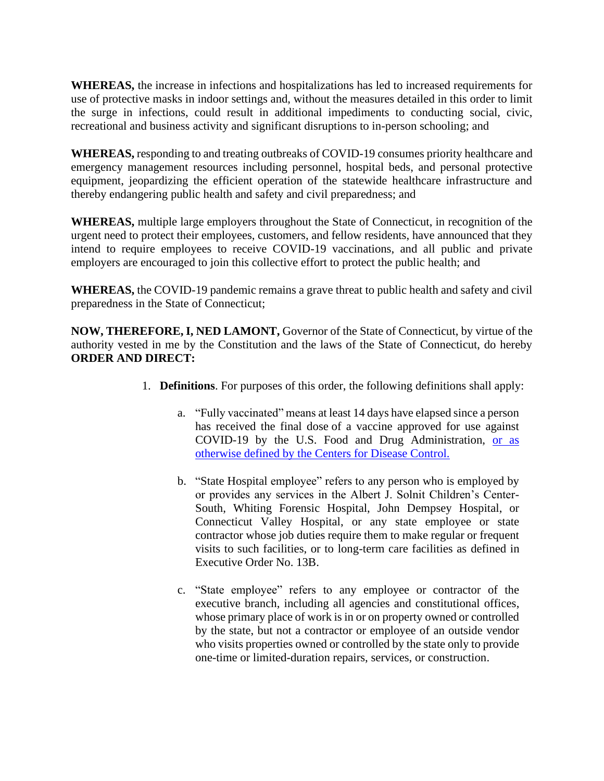**WHEREAS,** the increase in infections and hospitalizations has led to increased requirements for use of protective masks in indoor settings and, without the measures detailed in this order to limit the surge in infections, could result in additional impediments to conducting social, civic, recreational and business activity and significant disruptions to in-person schooling; and

**WHEREAS,** responding to and treating outbreaks of COVID-19 consumes priority healthcare and emergency management resources including personnel, hospital beds, and personal protective equipment, jeopardizing the efficient operation of the statewide healthcare infrastructure and thereby endangering public health and safety and civil preparedness; and

**WHEREAS,** multiple large employers throughout the State of Connecticut, in recognition of the urgent need to protect their employees, customers, and fellow residents, have announced that they intend to require employees to receive COVID-19 vaccinations, and all public and private employers are encouraged to join this collective effort to protect the public health; and

**WHEREAS,** the COVID-19 pandemic remains a grave threat to public health and safety and civil preparedness in the State of Connecticut;

**NOW, THEREFORE, I, NED LAMONT,** Governor of the State of Connecticut, by virtue of the authority vested in me by the Constitution and the laws of the State of Connecticut, do hereby **ORDER AND DIRECT:**

- 1. **Definitions**. For purposes of this order, the following definitions shall apply:
	- a. "Fully vaccinated" means at least 14 days have elapsed since a person has received the final dose of a vaccine approved for use against COVID-19 by the U.S. Food and Drug Administration, [or as](https://www.cdc.gov/coronavirus/2019-ncov/vaccines/fully-vaccinated.html)  [otherwise defined by the Centers for Disease Control.](https://www.cdc.gov/coronavirus/2019-ncov/vaccines/fully-vaccinated.html)
	- b. "State Hospital employee" refers to any person who is employed by or provides any services in the Albert J. Solnit Children's Center-South, Whiting Forensic Hospital, John Dempsey Hospital, or Connecticut Valley Hospital, or any state employee or state contractor whose job duties require them to make regular or frequent visits to such facilities, or to long-term care facilities as defined in Executive Order No. 13B.
	- c. "State employee" refers to any employee or contractor of the executive branch, including all agencies and constitutional offices, whose primary place of work is in or on property owned or controlled by the state, but not a contractor or employee of an outside vendor who visits properties owned or controlled by the state only to provide one-time or limited-duration repairs, services, or construction.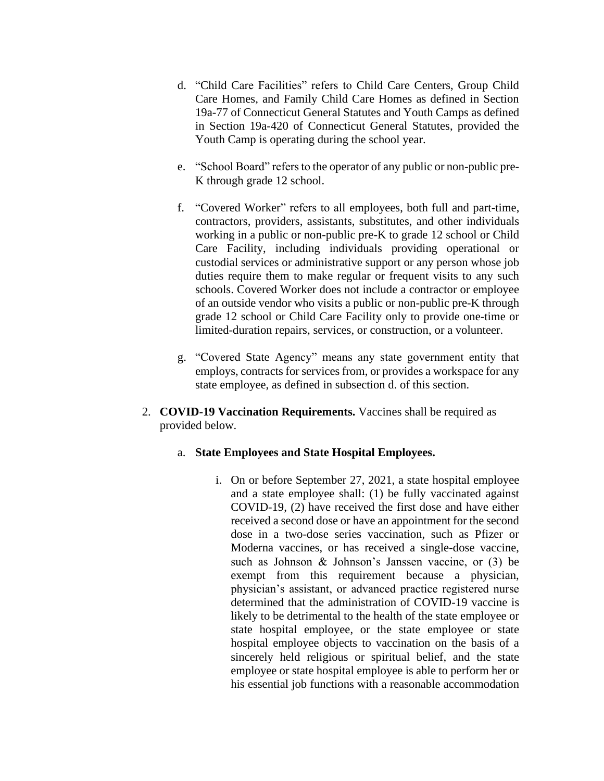- d. "Child Care Facilities" refers to Child Care Centers, Group Child Care Homes, and Family Child Care Homes as defined in Section 19a-77 of Connecticut General Statutes and Youth Camps as defined in Section 19a-420 of Connecticut General Statutes, provided the Youth Camp is operating during the school year.
- e. "School Board" refers to the operator of any public or non-public pre-K through grade 12 school.
- f. "Covered Worker" refers to all employees, both full and part-time, contractors, providers, assistants, substitutes, and other individuals working in a public or non-public pre-K to grade 12 school or Child Care Facility, including individuals providing operational or custodial services or administrative support or any person whose job duties require them to make regular or frequent visits to any such schools. Covered Worker does not include a contractor or employee of an outside vendor who visits a public or non-public pre-K through grade 12 school or Child Care Facility only to provide one-time or limited-duration repairs, services, or construction, or a volunteer.
- g. "Covered State Agency" means any state government entity that employs, contracts for services from, or provides a workspace for any state employee, as defined in subsection d. of this section.
- 2. **COVID-19 Vaccination Requirements.** Vaccines shall be required as provided below.
	- a. **State Employees and State Hospital Employees.**
		- i. On or before September 27, 2021, a state hospital employee and a state employee shall: (1) be fully vaccinated against COVID-19, (2) have received the first dose and have either received a second dose or have an appointment for the second dose in a two-dose series vaccination, such as Pfizer or Moderna vaccines, or has received a single-dose vaccine, such as Johnson & Johnson's Janssen vaccine, or (3) be exempt from this requirement because a physician, physician's assistant, or advanced practice registered nurse determined that the administration of COVID-19 vaccine is likely to be detrimental to the health of the state employee or state hospital employee, or the state employee or state hospital employee objects to vaccination on the basis of a sincerely held religious or spiritual belief, and the state employee or state hospital employee is able to perform her or his essential job functions with a reasonable accommodation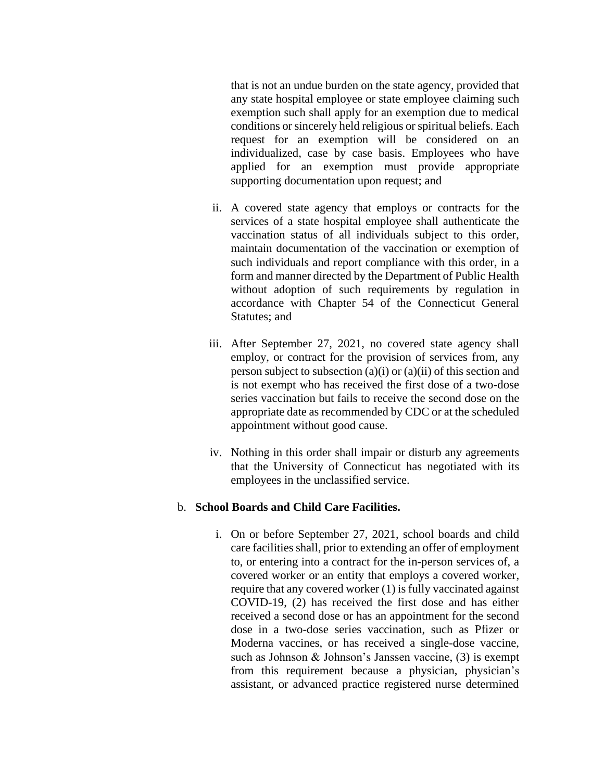that is not an undue burden on the state agency, provided that any state hospital employee or state employee claiming such exemption such shall apply for an exemption due to medical conditions or sincerely held religious or spiritual beliefs. Each request for an exemption will be considered on an individualized, case by case basis. Employees who have applied for an exemption must provide appropriate supporting documentation upon request; and

- ii. A covered state agency that employs or contracts for the services of a state hospital employee shall authenticate the vaccination status of all individuals subject to this order, maintain documentation of the vaccination or exemption of such individuals and report compliance with this order, in a form and manner directed by the Department of Public Health without adoption of such requirements by regulation in accordance with Chapter 54 of the Connecticut General Statutes; and
- iii. After September 27, 2021, no covered state agency shall employ, or contract for the provision of services from, any person subject to subsection  $(a)(i)$  or  $(a)(ii)$  of this section and is not exempt who has received the first dose of a two-dose series vaccination but fails to receive the second dose on the appropriate date as recommended by CDC or at the scheduled appointment without good cause.
- iv. Nothing in this order shall impair or disturb any agreements that the University of Connecticut has negotiated with its employees in the unclassified service.

#### b. **School Boards and Child Care Facilities.**

i. On or before September 27, 2021, school boards and child care facilities shall, prior to extending an offer of employment to, or entering into a contract for the in-person services of, a covered worker or an entity that employs a covered worker, require that any covered worker (1) is fully vaccinated against COVID-19, (2) has received the first dose and has either received a second dose or has an appointment for the second dose in a two-dose series vaccination, such as Pfizer or Moderna vaccines, or has received a single-dose vaccine, such as Johnson & Johnson's Janssen vaccine, (3) is exempt from this requirement because a physician, physician's assistant, or advanced practice registered nurse determined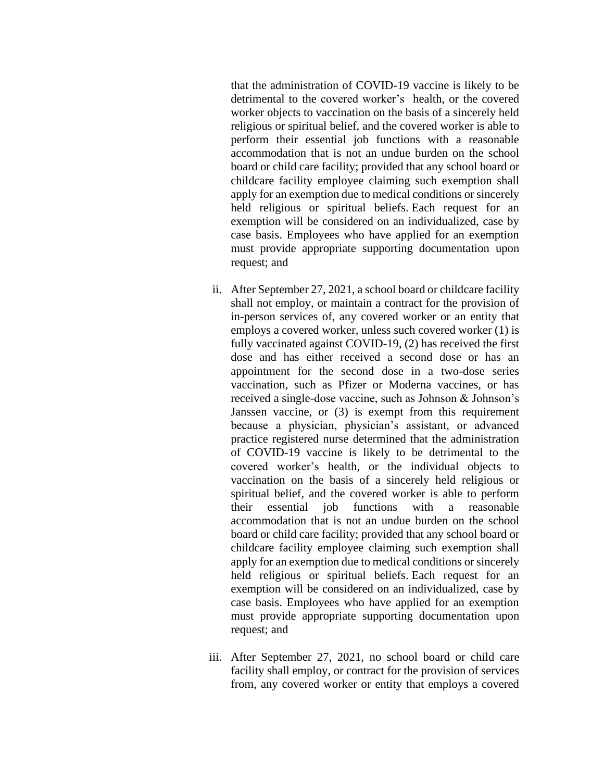that the administration of COVID-19 vaccine is likely to be detrimental to the covered worker's health, or the covered worker objects to vaccination on the basis of a sincerely held religious or spiritual belief, and the covered worker is able to perform their essential job functions with a reasonable accommodation that is not an undue burden on the school board or child care facility; provided that any school board or childcare facility employee claiming such exemption shall apply for an exemption due to medical conditions or sincerely held religious or spiritual beliefs. Each request for an exemption will be considered on an individualized, case by case basis. Employees who have applied for an exemption must provide appropriate supporting documentation upon request; and

- ii. After September 27, 2021, a school board or childcare facility shall not employ, or maintain a contract for the provision of in-person services of, any covered worker or an entity that employs a covered worker, unless such covered worker (1) is fully vaccinated against COVID-19, (2) has received the first dose and has either received a second dose or has an appointment for the second dose in a two-dose series vaccination, such as Pfizer or Moderna vaccines, or has received a single-dose vaccine, such as Johnson & Johnson's Janssen vaccine, or (3) is exempt from this requirement because a physician, physician's assistant, or advanced practice registered nurse determined that the administration of COVID-19 vaccine is likely to be detrimental to the covered worker's health, or the individual objects to vaccination on the basis of a sincerely held religious or spiritual belief, and the covered worker is able to perform their essential job functions with a reasonable accommodation that is not an undue burden on the school board or child care facility; provided that any school board or childcare facility employee claiming such exemption shall apply for an exemption due to medical conditions or sincerely held religious or spiritual beliefs. Each request for an exemption will be considered on an individualized, case by case basis. Employees who have applied for an exemption must provide appropriate supporting documentation upon request; and
- iii. After September 27, 2021, no school board or child care facility shall employ, or contract for the provision of services from, any covered worker or entity that employs a covered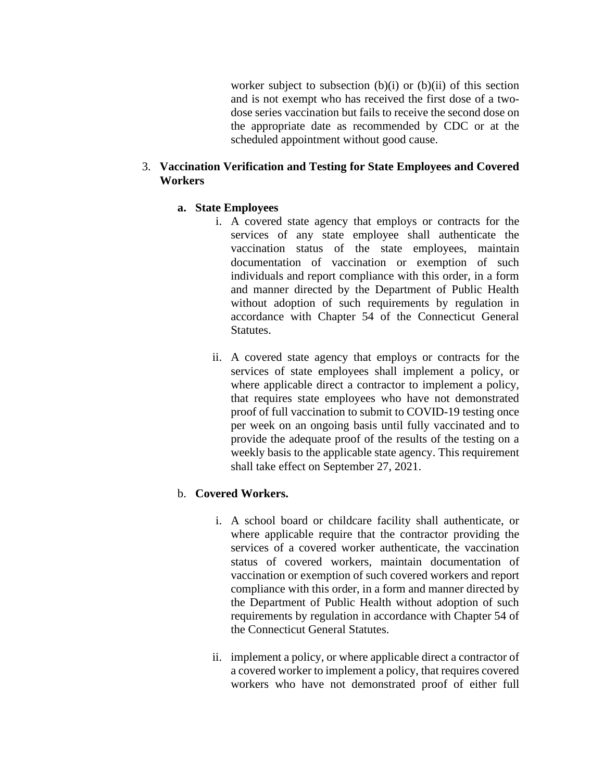worker subject to subsection (b)(i) or (b)(ii) of this section and is not exempt who has received the first dose of a twodose series vaccination but fails to receive the second dose on the appropriate date as recommended by CDC or at the scheduled appointment without good cause.

## 3. **Vaccination Verification and Testing for State Employees and Covered Workers**

## **a. State Employees**

- i. A covered state agency that employs or contracts for the services of any state employee shall authenticate the vaccination status of the state employees, maintain documentation of vaccination or exemption of such individuals and report compliance with this order, in a form and manner directed by the Department of Public Health without adoption of such requirements by regulation in accordance with Chapter 54 of the Connecticut General Statutes.
- ii. A covered state agency that employs or contracts for the services of state employees shall implement a policy, or where applicable direct a contractor to implement a policy, that requires state employees who have not demonstrated proof of full vaccination to submit to COVID-19 testing once per week on an ongoing basis until fully vaccinated and to provide the adequate proof of the results of the testing on a weekly basis to the applicable state agency. This requirement shall take effect on September 27, 2021.

# b. **Covered Workers.**

- i. A school board or childcare facility shall authenticate, or where applicable require that the contractor providing the services of a covered worker authenticate, the vaccination status of covered workers, maintain documentation of vaccination or exemption of such covered workers and report compliance with this order, in a form and manner directed by the Department of Public Health without adoption of such requirements by regulation in accordance with Chapter 54 of the Connecticut General Statutes.
- ii. implement a policy, or where applicable direct a contractor of a covered worker to implement a policy, that requires covered workers who have not demonstrated proof of either full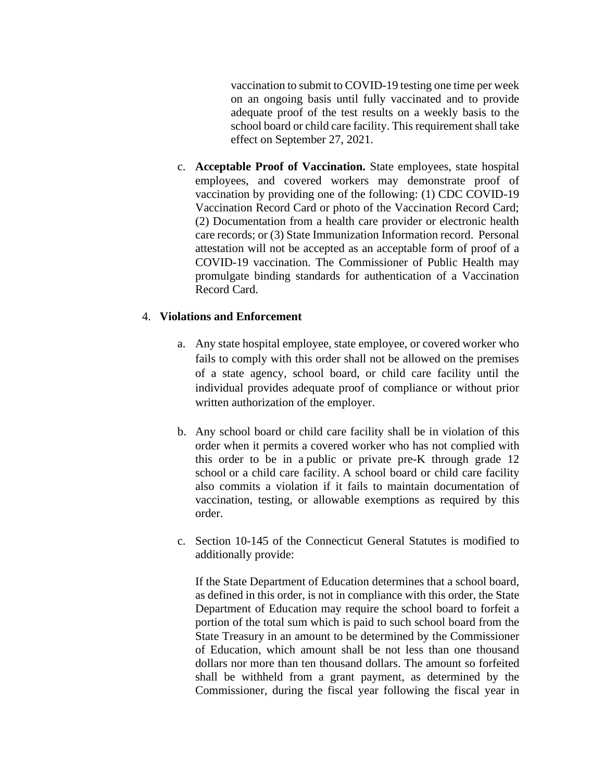vaccination to submit to COVID-19 testing one time per week on an ongoing basis until fully vaccinated and to provide adequate proof of the test results on a weekly basis to the school board or child care facility. This requirement shall take effect on September 27, 2021.

c. **Acceptable Proof of Vaccination.** State employees, state hospital employees, and covered workers may demonstrate proof of vaccination by providing one of the following: (1) CDC COVID-19 Vaccination Record Card or photo of the Vaccination Record Card; (2) Documentation from a health care provider or electronic health care records; or (3) State Immunization Information record. Personal attestation will not be accepted as an acceptable form of proof of a COVID-19 vaccination. The Commissioner of Public Health may promulgate binding standards for authentication of a Vaccination Record Card.

#### 4. **Violations and Enforcement**

- a. Any state hospital employee, state employee, or covered worker who fails to comply with this order shall not be allowed on the premises of a state agency, school board, or child care facility until the individual provides adequate proof of compliance or without prior written authorization of the employer.
- b. Any school board or child care facility shall be in violation of this order when it permits a covered worker who has not complied with this order to be in a public or private pre-K through grade 12 school or a child care facility. A school board or child care facility also commits a violation if it fails to maintain documentation of vaccination, testing, or allowable exemptions as required by this order.
- c. Section 10-145 of the Connecticut General Statutes is modified to additionally provide:

If the State Department of Education determines that a school board, as defined in this order, is not in compliance with this order, the State Department of Education may require the school board to forfeit a portion of the total sum which is paid to such school board from the State Treasury in an amount to be determined by the Commissioner of Education, which amount shall be not less than one thousand dollars nor more than ten thousand dollars. The amount so forfeited shall be withheld from a grant payment, as determined by the Commissioner, during the fiscal year following the fiscal year in